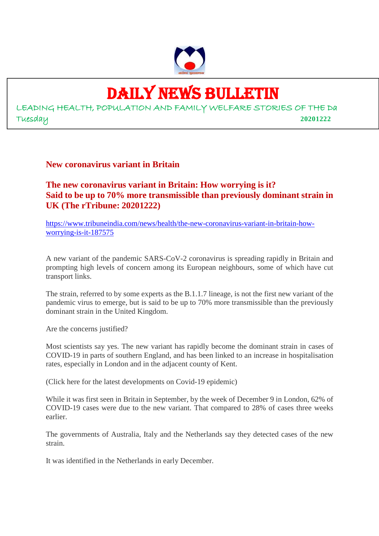

## DAILY NEWS BULLETIN

LEADING HEALTH, POPULATION AND FAMILY WELFARE STORIES OF THE Da Tuesday **20201222**

**New coronavirus variant in Britain**

**The new coronavirus variant in Britain: How worrying is it? Said to be up to 70% more transmissible than previously dominant strain in UK (The rTribune: 20201222)**

https://www.tribuneindia.com/news/health/the-new-coronavirus-variant-in-britain-howworrying-is-it-187575

A new variant of the pandemic SARS-CoV-2 coronavirus is spreading rapidly in Britain and prompting high levels of concern among its European neighbours, some of which have cut transport links.

The strain, referred to by some experts as the B.1.1.7 lineage, is not the first new variant of the pandemic virus to emerge, but is said to be up to 70% more transmissible than the previously dominant strain in the United Kingdom.

Are the concerns justified?

Most scientists say yes. The new variant has rapidly become the dominant strain in cases of COVID-19 in parts of southern England, and has been linked to an increase in hospitalisation rates, especially in London and in the adjacent county of Kent.

(Click here for the latest developments on Covid-19 epidemic)

While it was first seen in Britain in September, by the week of December 9 in London, 62% of COVID-19 cases were due to the new variant. That compared to 28% of cases three weeks earlier.

The governments of Australia, Italy and the Netherlands say they detected cases of the new strain.

It was identified in the Netherlands in early December.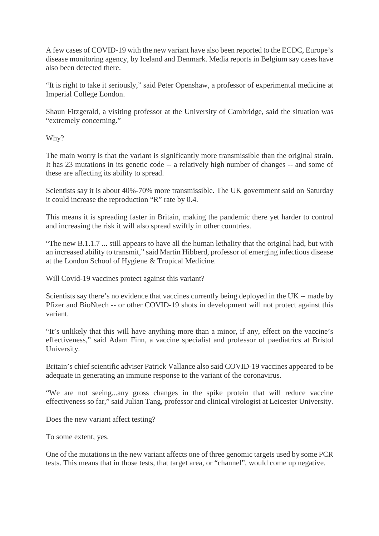A few cases of COVID-19 with the new variant have also been reported to the ECDC, Europe's disease monitoring agency, by Iceland and Denmark. Media reports in Belgium say cases have also been detected there.

"It is right to take it seriously," said Peter Openshaw, a professor of experimental medicine at Imperial College London.

Shaun Fitzgerald, a visiting professor at the University of Cambridge, said the situation was "extremely concerning."

Why?

The main worry is that the variant is significantly more transmissible than the original strain. It has 23 mutations in its genetic code -- a relatively high number of changes -- and some of these are affecting its ability to spread.

Scientists say it is about 40%-70% more transmissible. The UK government said on Saturday it could increase the reproduction "R" rate by 0.4.

This means it is spreading faster in Britain, making the pandemic there yet harder to control and increasing the risk it will also spread swiftly in other countries.

"The new B.1.1.7 ... still appears to have all the human lethality that the original had, but with an increased ability to transmit," said Martin Hibberd, professor of emerging infectious disease at the London School of Hygiene & Tropical Medicine.

Will Covid-19 vaccines protect against this variant?

Scientists say there's no evidence that vaccines currently being deployed in the UK -- made by Pfizer and BioNtech -- or other COVID-19 shots in development will not protect against this variant.

"It's unlikely that this will have anything more than a minor, if any, effect on the vaccine's effectiveness," said Adam Finn, a vaccine specialist and professor of paediatrics at Bristol University.

Britain's chief scientific adviser Patrick Vallance also said COVID-19 vaccines appeared to be adequate in generating an immune response to the variant of the coronavirus.

"We are not seeing...any gross changes in the spike protein that will reduce vaccine effectiveness so far," said Julian Tang, professor and clinical virologist at Leicester University.

Does the new variant affect testing?

To some extent, yes.

One of the mutations in the new variant affects one of three genomic targets used by some PCR tests. This means that in those tests, that target area, or "channel", would come up negative.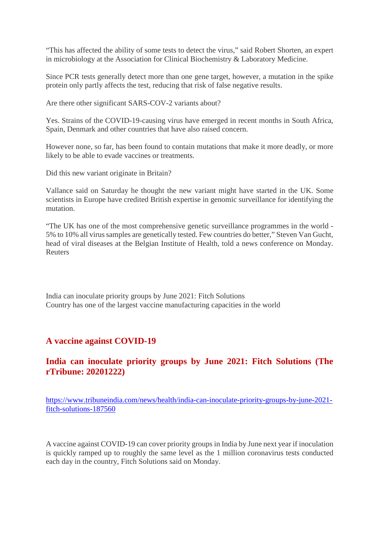"This has affected the ability of some tests to detect the virus," said Robert Shorten, an expert in microbiology at the Association for Clinical Biochemistry & Laboratory Medicine.

Since PCR tests generally detect more than one gene target, however, a mutation in the spike protein only partly affects the test, reducing that risk of false negative results.

Are there other significant SARS-COV-2 variants about?

Yes. Strains of the COVID-19-causing virus have emerged in recent months in South Africa, Spain, Denmark and other countries that have also raised concern.

However none, so far, has been found to contain mutations that make it more deadly, or more likely to be able to evade vaccines or treatments.

Did this new variant originate in Britain?

Vallance said on Saturday he thought the new variant might have started in the UK. Some scientists in Europe have credited British expertise in genomic surveillance for identifying the mutation.

"The UK has one of the most comprehensive genetic surveillance programmes in the world - 5% to 10% all virus samples are genetically tested. Few countries do better," Steven Van Gucht, head of viral diseases at the Belgian Institute of Health, told a news conference on Monday. Reuters

India can inoculate priority groups by June 2021: Fitch Solutions Country has one of the largest vaccine manufacturing capacities in the world

#### **A vaccine against COVID-19**

#### **India can inoculate priority groups by June 2021: Fitch Solutions (The rTribune: 20201222)**

https://www.tribuneindia.com/news/health/india-can-inoculate-priority-groups-by-june-2021 fitch-solutions-187560

A vaccine against COVID-19 can cover priority groups in India by June next year if inoculation is quickly ramped up to roughly the same level as the 1 million coronavirus tests conducted each day in the country, Fitch Solutions said on Monday.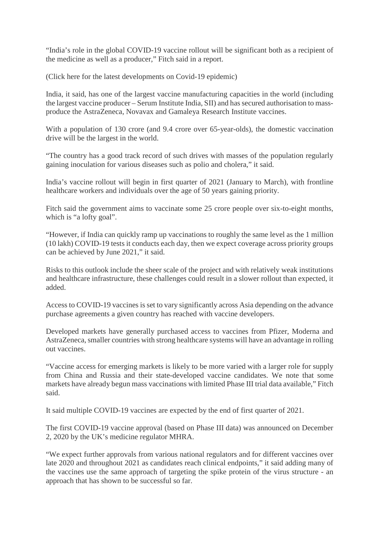"India's role in the global COVID-19 vaccine rollout will be significant both as a recipient of the medicine as well as a producer," Fitch said in a report.

(Click here for the latest developments on Covid-19 epidemic)

India, it said, has one of the largest vaccine manufacturing capacities in the world (including the largest vaccine producer – Serum Institute India, SII) and has secured authorisation to massproduce the AstraZeneca, Novavax and Gamaleya Research Institute vaccines.

With a population of 130 crore (and 9.4 crore over 65-year-olds), the domestic vaccination drive will be the largest in the world.

"The country has a good track record of such drives with masses of the population regularly gaining inoculation for various diseases such as polio and cholera," it said.

India's vaccine rollout will begin in first quarter of 2021 (January to March), with frontline healthcare workers and individuals over the age of 50 years gaining priority.

Fitch said the government aims to vaccinate some 25 crore people over six-to-eight months, which is "a lofty goal".

"However, if India can quickly ramp up vaccinations to roughly the same level as the 1 million (10 lakh) COVID-19 tests it conducts each day, then we expect coverage across priority groups can be achieved by June 2021," it said.

Risks to this outlook include the sheer scale of the project and with relatively weak institutions and healthcare infrastructure, these challenges could result in a slower rollout than expected, it added.

Access to COVID-19 vaccines is set to vary significantly across Asia depending on the advance purchase agreements a given country has reached with vaccine developers.

Developed markets have generally purchased access to vaccines from Pfizer, Moderna and AstraZeneca, smaller countries with strong healthcare systems will have an advantage in rolling out vaccines.

"Vaccine access for emerging markets is likely to be more varied with a larger role for supply from China and Russia and their state-developed vaccine candidates. We note that some markets have already begun mass vaccinations with limited Phase III trial data available," Fitch said.

It said multiple COVID-19 vaccines are expected by the end of first quarter of 2021.

The first COVID-19 vaccine approval (based on Phase III data) was announced on December 2, 2020 by the UK's medicine regulator MHRA.

"We expect further approvals from various national regulators and for different vaccines over late 2020 and throughout 2021 as candidates reach clinical endpoints," it said adding many of the vaccines use the same approach of targeting the spike protein of the virus structure - an approach that has shown to be successful so far.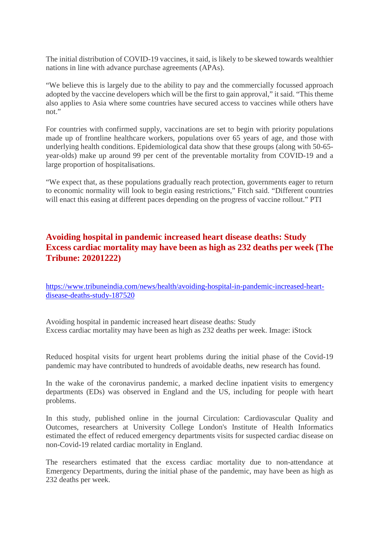The initial distribution of COVID-19 vaccines, it said, is likely to be skewed towards wealthier nations in line with advance purchase agreements (APAs).

"We believe this is largely due to the ability to pay and the commercially focussed approach adopted by the vaccine developers which will be the first to gain approval," it said. "This theme also applies to Asia where some countries have secured access to vaccines while others have not"

For countries with confirmed supply, vaccinations are set to begin with priority populations made up of frontline healthcare workers, populations over 65 years of age, and those with underlying health conditions. Epidemiological data show that these groups (along with 50-65 year-olds) make up around 99 per cent of the preventable mortality from COVID-19 and a large proportion of hospitalisations.

"We expect that, as these populations gradually reach protection, governments eager to return to economic normality will look to begin easing restrictions," Fitch said. "Different countries will enact this easing at different paces depending on the progress of vaccine rollout." PTI

#### **Avoiding hospital in pandemic increased heart disease deaths: Study Excess cardiac mortality may have been as high as 232 deaths per week (The Tribune: 20201222)**

https://www.tribuneindia.com/news/health/avoiding-hospital-in-pandemic-increased-heartdisease-deaths-study-187520

Avoiding hospital in pandemic increased heart disease deaths: Study Excess cardiac mortality may have been as high as 232 deaths per week. Image: iStock

Reduced hospital visits for urgent heart problems during the initial phase of the Covid-19 pandemic may have contributed to hundreds of avoidable deaths, new research has found.

In the wake of the coronavirus pandemic, a marked decline inpatient visits to emergency departments (EDs) was observed in England and the US, including for people with heart problems.

In this study, published online in the journal Circulation: Cardiovascular Quality and Outcomes, researchers at University College London's Institute of Health Informatics estimated the effect of reduced emergency departments visits for suspected cardiac disease on non-Covid-19 related cardiac mortality in England.

The researchers estimated that the excess cardiac mortality due to non-attendance at Emergency Departments, during the initial phase of the pandemic, may have been as high as 232 deaths per week.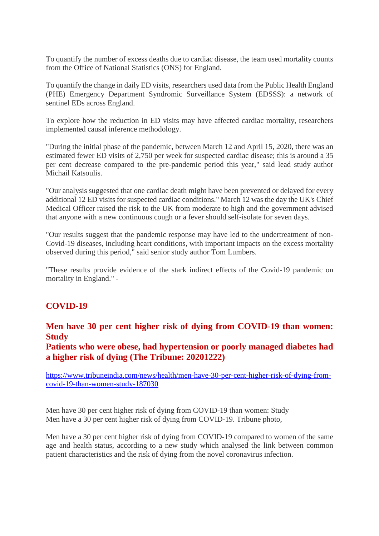To quantify the number of excess deaths due to cardiac disease, the team used mortality counts from the Office of National Statistics (ONS) for England.

To quantify the change in daily ED visits, researchers used data from the Public Health England (PHE) Emergency Department Syndromic Surveillance System (EDSSS): a network of sentinel EDs across England.

To explore how the reduction in ED visits may have affected cardiac mortality, researchers implemented causal inference methodology.

"During the initial phase of the pandemic, between March 12 and April 15, 2020, there was an estimated fewer ED visits of 2,750 per week for suspected cardiac disease; this is around a 35 per cent decrease compared to the pre-pandemic period this year," said lead study author Michail Katsoulis.

"Our analysis suggested that one cardiac death might have been prevented or delayed for every additional 12 ED visits for suspected cardiac conditions." March 12 was the day the UK's Chief Medical Officer raised the risk to the UK from moderate to high and the government advised that anyone with a new continuous cough or a fever should self-isolate for seven days.

"Our results suggest that the pandemic response may have led to the undertreatment of non-Covid-19 diseases, including heart conditions, with important impacts on the excess mortality observed during this period," said senior study author Tom Lumbers.

"These results provide evidence of the stark indirect effects of the Covid-19 pandemic on mortality in England." -

#### **COVID-19**

#### **Men have 30 per cent higher risk of dying from COVID-19 than women: Study**

**Patients who were obese, had hypertension or poorly managed diabetes had a higher risk of dying (The Tribune: 20201222)**

https://www.tribuneindia.com/news/health/men-have-30-per-cent-higher-risk-of-dying-fromcovid-19-than-women-study-187030

Men have 30 per cent higher risk of dying from COVID-19 than women: Study Men have a 30 per cent higher risk of dying from COVID-19. Tribune photo,

Men have a 30 per cent higher risk of dying from COVID-19 compared to women of the same age and health status, according to a new study which analysed the link between common patient characteristics and the risk of dying from the novel coronavirus infection.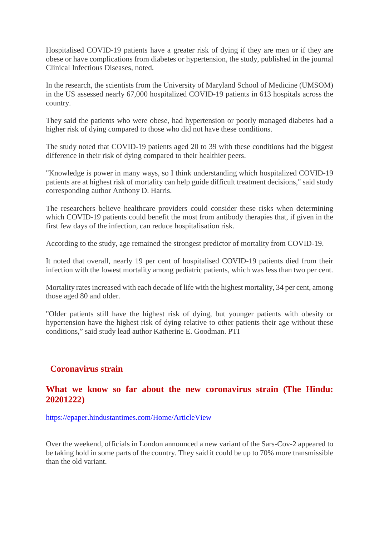Hospitalised COVID-19 patients have a greater risk of dying if they are men or if they are obese or have complications from diabetes or hypertension, the study, published in the journal Clinical Infectious Diseases, noted.

In the research, the scientists from the University of Maryland School of Medicine (UMSOM) in the US assessed nearly 67,000 hospitalized COVID-19 patients in 613 hospitals across the country.

They said the patients who were obese, had hypertension or poorly managed diabetes had a higher risk of dying compared to those who did not have these conditions.

The study noted that COVID-19 patients aged 20 to 39 with these conditions had the biggest difference in their risk of dying compared to their healthier peers.

"Knowledge is power in many ways, so I think understanding which hospitalized COVID-19 patients are at highest risk of mortality can help guide difficult treatment decisions," said study corresponding author Anthony D. Harris.

The researchers believe healthcare providers could consider these risks when determining which COVID-19 patients could benefit the most from antibody therapies that, if given in the first few days of the infection, can reduce hospitalisation risk.

According to the study, age remained the strongest predictor of mortality from COVID-19.

It noted that overall, nearly 19 per cent of hospitalised COVID-19 patients died from their infection with the lowest mortality among pediatric patients, which was less than two per cent.

Mortality rates increased with each decade of life with the highest mortality, 34 per cent, among those aged 80 and older.

"Older patients still have the highest risk of dying, but younger patients with obesity or hypertension have the highest risk of dying relative to other patients their age without these conditions," said study lead author Katherine E. Goodman. PTI

#### **Coronavirus strain**

#### **What we know so far about the new coronavirus strain (The Hindu: 20201222)**

https://epaper.hindustantimes.com/Home/ArticleView

Over the weekend, officials in London announced a new variant of the Sars-Cov-2 appeared to be taking hold in some parts of the country. They said it could be up to 70% more transmissible than the old variant.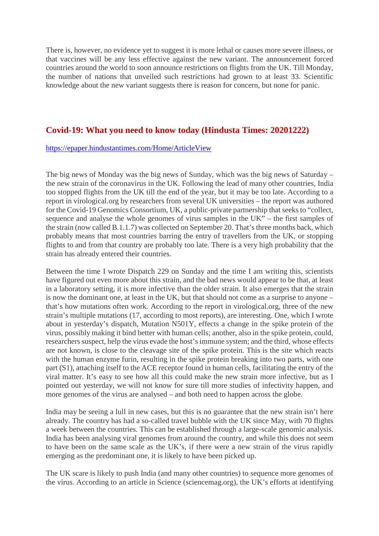There is, however, no evidence yet to suggest it is more lethal or causes more severe illness, or that vaccines will be any less effective against the new variant. The announcement forced countries around the world to soon announce restrictions on flights from the UK. Till Monday, the number of nations that unveiled such restrictions had grown to at least 33. Scientific knowledge about the new variant suggests there is reason for concern, but none for panic.

#### **Covid-19: What you need to know today (Hindusta Times: 20201222)**

#### https://epaper.hindustantimes.com/Home/ArticleView

The big news of Monday was the big news of Sunday, which was the big news of Saturday – the new strain of the coronavirus in the UK. Following the lead of many other countries, India too stopped flights from the UK till the end of the year, but it may be too late. According to a report in virological.org by researchers from several UK universities – the report was authored for the Covid-19 Genomics Consortium, UK, a public-private partnership that seeks to "collect, sequence and analyse the whole genomes of virus samples in the UK" – the first samples of the strain (now called B.1.1.7) was collected on September 20. That's three months back, which probably means that most countries barring the entry of travellers from the UK, or stopping flights to and from that country are probably too late. There is a very high probability that the strain has already entered their countries.

Between the time I wrote Dispatch 229 on Sunday and the time I am writing this, scientists have figured out even more about this strain, and the bad news would appear to be that, at least in a laboratory setting, it is more infective than the older strain. It also emerges that the strain is now the dominant one, at least in the UK, but that should not come as a surprise to anyone – that's how mutations often work. According to the report in virological.org, three of the new strain's multiple mutations (17, according to most reports), are interesting. One, which I wrote about in yesterday's dispatch, Mutation N501Y, effects a change in the spike protein of the virus, possibly making it bind better with human cells; another, also in the spike protein, could, researchers suspect, help the virus evade the host's immune system; and the third, whose effects are not known, is close to the cleavage site of the spike protein. This is the site which reacts with the human enzyme furin, resulting in the spike protein breaking into two parts, with one part (S1), attaching itself to the ACE receptor found in human cells, facilitating the entry of the viral matter. It's easy to see how all this could make the new strain more infective, but as I pointed out yesterday, we will not know for sure till more studies of infectivity happen, and more genomes of the virus are analysed – and both need to happen across the globe.

India may be seeing a lull in new cases, but this is no guarantee that the new strain isn't here already. The country has had a so-called travel bubble with the UK since May, with 70 flights a week between the countries. This can be established through a large-scale genomic analysis. India has been analysing viral genomes from around the country, and while this does not seem to have been on the same scale as the UK's, if there were a new strain of the virus rapidly emerging as the predominant one, it is likely to have been picked up.

The UK scare is likely to push India (and many other countries) to sequence more genomes of the virus. According to an article in Science (sciencemag.org), the UK's efforts at identifying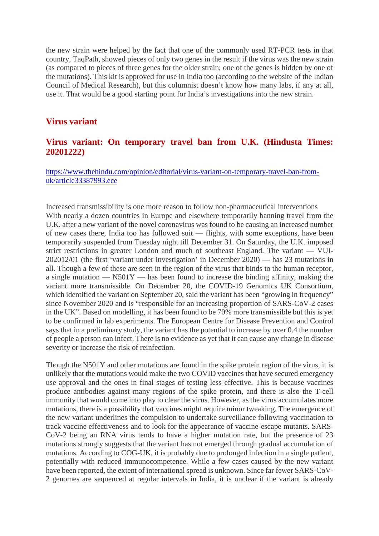the new strain were helped by the fact that one of the commonly used RT-PCR tests in that country, TaqPath, showed pieces of only two genes in the result if the virus was the new strain (as compared to pieces of three genes for the older strain; one of the genes is hidden by one of the mutations). This kit is approved for use in India too (according to the website of the Indian Council of Medical Research), but this columnist doesn't know how many labs, if any at all, use it. That would be a good starting point for India's investigations into the new strain.

#### **Virus variant**

#### **Virus variant: On temporary travel ban from U.K. (Hindusta Times: 20201222)**

https://www.thehindu.com/opinion/editorial/virus-variant-on-temporary-travel-ban-fromuk/article33387993.ece

Increased transmissibility is one more reason to follow non-pharmaceutical interventions With nearly a dozen countries in Europe and elsewhere temporarily banning travel from the U.K. after a new variant of the novel coronavirus was found to be causing an increased number of new cases there, India too has followed suit — flights, with some exceptions, have been temporarily suspended from Tuesday night till December 31. On Saturday, the U.K. imposed strict restrictions in greater London and much of southeast England. The variant — VUI-202012/01 (the first 'variant under investigation' in December 2020) — has 23 mutations in all. Though a few of these are seen in the region of the virus that binds to the human receptor, a single mutation  $-$  N501Y  $-$  has been found to increase the binding affinity, making the variant more transmissible. On December 20, the COVID-19 Genomics UK Consortium, which identified the variant on September 20, said the variant has been "growing in frequency" since November 2020 and is "responsible for an increasing proportion of SARS-CoV-2 cases in the UK". Based on modelling, it has been found to be 70% more transmissible but this is yet to be confirmed in lab experiments. The European Centre for Disease Prevention and Control says that in a preliminary study, the variant has the potential to increase by over 0.4 the number of people a person can infect. There is no evidence as yet that it can cause any change in disease severity or increase the risk of reinfection.

Though the N501Y and other mutations are found in the spike protein region of the virus, it is unlikely that the mutations would make the two COVID vaccines that have secured emergency use approval and the ones in final stages of testing less effective. This is because vaccines produce antibodies against many regions of the spike protein, and there is also the T-cell immunity that would come into play to clear the virus. However, as the virus accumulates more mutations, there is a possibility that vaccines might require minor tweaking. The emergence of the new variant underlines the compulsion to undertake surveillance following vaccination to track vaccine effectiveness and to look for the appearance of vaccine-escape mutants. SARS-CoV-2 being an RNA virus tends to have a higher mutation rate, but the presence of 23 mutations strongly suggests that the variant has not emerged through gradual accumulation of mutations. According to COG-UK, it is probably due to prolonged infection in a single patient, potentially with reduced immunocompetence. While a few cases caused by the new variant have been reported, the extent of international spread is unknown. Since far fewer SARS-CoV-2 genomes are sequenced at regular intervals in India, it is unclear if the variant is already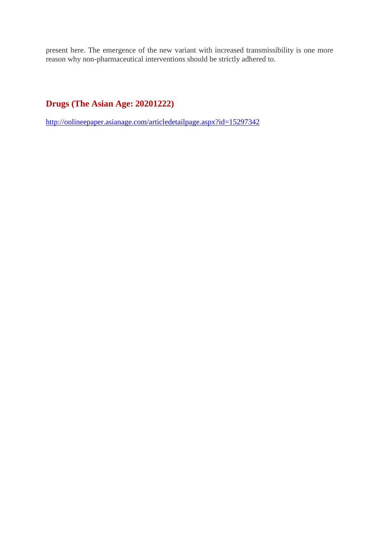present here. The emergence of the new variant with increased transmissibility is one more reason why non-pharmaceutical interventions should be strictly adhered to.

#### **Drugs (The Asian Age: 20201222)**

http://onlineepaper.asianage.com/articledetailpage.aspx?id=15297342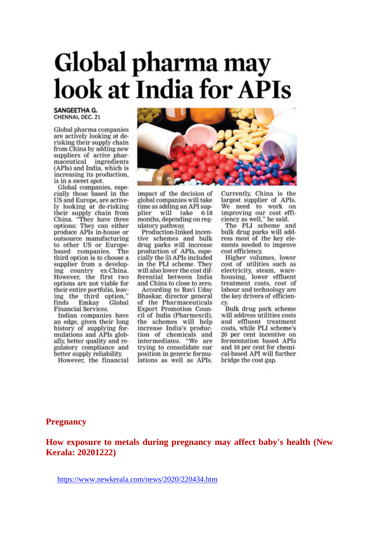## Global pharma may look at India for APIs

#### **SANGEETHA G.** CHENNAI, DEC. 21

Global pharma companies are actively looking at derisking their supply chain from China by adding new suppliers of active phar-<br>maceutical ingredients (APIs) and India, which is increasing its production. is in a sweet spot.

Global companies, especially those based in the US and Europe, are actively looking at de-risking their supply chain from<br>China. "They have three options: They can either produce APIs in-house or outsource manufacturing to other US or Europebased companies. The third option is to choose a supplier from a developing country ex-China. However, the first two options are not viable for their entire portfolio, leaving the third option,"<br>finds Emkay Global Global **Financial Services.** 

Indian companies have an edge, given their long<br>history of supplying formulations and APIs globally, better quality and regulatory compliance and better supply reliability.

However, the financial



impact of the decision of global companies will take time as adding an API supplier will take 6-18 months, depending on regulatory pathway.

Production-linked incentive schemes and bulk drug parks will increase production of APIs, especially the 53 APIs included in the PLI scheme. They will also lower the cost differential between India and China to close to zero.

According to Ravi Uday Bhaskar, director general of the Pharmaceuticals Export Promotion Council of India (Pharmexcil), the schemes will help increase India's production of chemicals and intermediates. "We are trying to consolidate our position in generic formulations as well as APIs.

Currently, China is the largest supplier of APIs.<br>We need to work on<br>improving our cost efficiency as well," he said.

The PLI scheme and bulk drug parks will address most of the key elements needed to improve cost efficiency.

Higher volumes, lower cost of utilities such as<br>electricity, steam, warehousing, lower effluent treatment costs, cost of labour and technology are the key drivers of efficiency.

Bulk drug park scheme will address utilities costs and effluent treatment<br>costs, while PLI scheme's 20 per cent incentive on fermentation based APIs and 10 per cent for chemical-based API will further bridge the cost gap.

#### **Pregnancy**

How exposure to metals during pregnancy may affect baby's health (New **Kerala: 20201222)**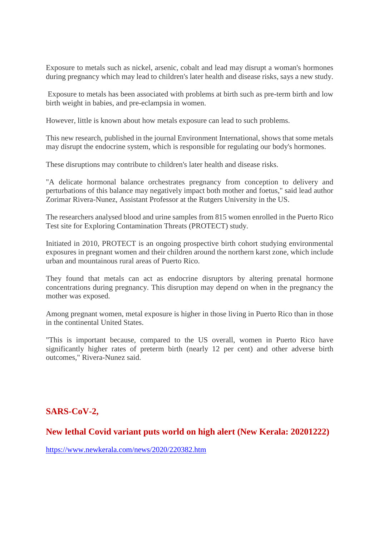Exposure to metals such as nickel, arsenic, cobalt and lead may disrupt a woman's hormones during pregnancy which may lead to children's later health and disease risks, says a new study.

Exposure to metals has been associated with problems at birth such as pre-term birth and low birth weight in babies, and pre-eclampsia in women.

However, little is known about how metals exposure can lead to such problems.

This new research, published in the journal Environment International, shows that some metals may disrupt the endocrine system, which is responsible for regulating our body's hormones.

These disruptions may contribute to children's later health and disease risks.

"A delicate hormonal balance orchestrates pregnancy from conception to delivery and perturbations of this balance may negatively impact both mother and foetus," said lead author Zorimar Rivera-Nunez, Assistant Professor at the Rutgers University in the US.

The researchers analysed blood and urine samples from 815 women enrolled in the Puerto Rico Test site for Exploring Contamination Threats (PROTECT) study.

Initiated in 2010, PROTECT is an ongoing prospective birth cohort studying environmental exposures in pregnant women and their children around the northern karst zone, which include urban and mountainous rural areas of Puerto Rico.

They found that metals can act as endocrine disruptors by altering prenatal hormone concentrations during pregnancy. This disruption may depend on when in the pregnancy the mother was exposed.

Among pregnant women, metal exposure is higher in those living in Puerto Rico than in those in the continental United States.

"This is important because, compared to the US overall, women in Puerto Rico have significantly higher rates of preterm birth (nearly 12 per cent) and other adverse birth outcomes," Rivera-Nunez said.

#### **SARS-CoV-2,**

#### **New lethal Covid variant puts world on high alert (New Kerala: 20201222)**

https://www.newkerala.com/news/2020/220382.htm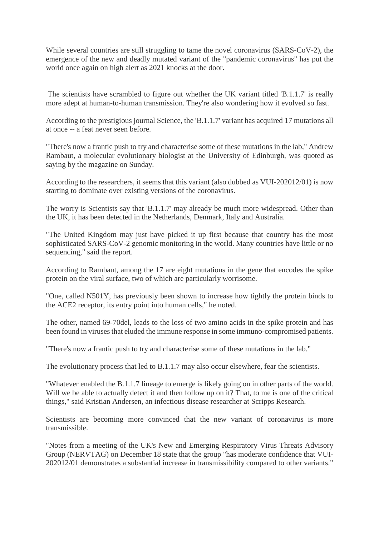While several countries are still struggling to tame the novel coronavirus (SARS-CoV-2), the emergence of the new and deadly mutated variant of the "pandemic coronavirus" has put the world once again on high alert as 2021 knocks at the door.

The scientists have scrambled to figure out whether the UK variant titled 'B.1.1.7' is really more adept at human-to-human transmission. They're also wondering how it evolved so fast.

According to the prestigious journal Science, the 'B.1.1.7' variant has acquired 17 mutations all at once -- a feat never seen before.

"There's now a frantic push to try and characterise some of these mutations in the lab," Andrew Rambaut, a molecular evolutionary biologist at the University of Edinburgh, was quoted as saying by the magazine on Sunday.

According to the researchers, it seems that this variant (also dubbed as VUI-202012/01) is now starting to dominate over existing versions of the coronavirus.

The worry is Scientists say that 'B.1.1.7' may already be much more widespread. Other than the UK, it has been detected in the Netherlands, Denmark, Italy and Australia.

"The United Kingdom may just have picked it up first because that country has the most sophisticated SARS-CoV-2 genomic monitoring in the world. Many countries have little or no sequencing," said the report.

According to Rambaut, among the 17 are eight mutations in the gene that encodes the spike protein on the viral surface, two of which are particularly worrisome.

"One, called N501Y, has previously been shown to increase how tightly the protein binds to the ACE2 receptor, its entry point into human cells," he noted.

The other, named 69-70del, leads to the loss of two amino acids in the spike protein and has been found in viruses that eluded the immune response in some immuno-compromised patients.

"There's now a frantic push to try and characterise some of these mutations in the lab."

The evolutionary process that led to B.1.1.7 may also occur elsewhere, fear the scientists.

"Whatever enabled the B.1.1.7 lineage to emerge is likely going on in other parts of the world. Will we be able to actually detect it and then follow up on it? That, to me is one of the critical things," said Kristian Andersen, an infectious disease researcher at Scripps Research.

Scientists are becoming more convinced that the new variant of coronavirus is more transmissible.

"Notes from a meeting of the UK's New and Emerging Respiratory Virus Threats Advisory Group (NERVTAG) on December 18 state that the group "has moderate confidence that VUI-202012/01 demonstrates a substantial increase in transmissibility compared to other variants."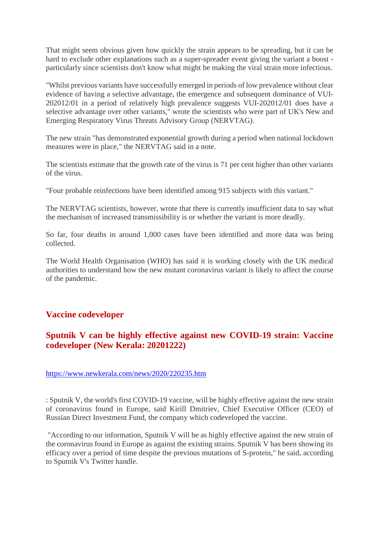That might seem obvious given how quickly the strain appears to be spreading, but it can be hard to exclude other explanations such as a super-spreader event giving the variant a boost particularly since scientists don't know what might be making the viral strain more infectious.

"Whilst previous variants have successfully emerged in periods of low prevalence without clear evidence of having a selective advantage, the emergence and subsequent dominance of VUI-202012/01 in a period of relatively high prevalence suggests VUI-202012/01 does have a selective advantage over other variants," wrote the scientists who were part of UK's New and Emerging Respiratory Virus Threats Advisory Group (NERVTAG).

The new strain "has demonstrated exponential growth during a period when national lockdown measures were in place," the NERVTAG said in a note.

The scientists estimate that the growth rate of the virus is 71 per cent higher than other variants of the virus.

"Four probable reinfections have been identified among 915 subjects with this variant."

The NERVTAG scientists, however, wrote that there is currently insufficient data to say what the mechanism of increased transmissibility is or whether the variant is more deadly.

So far, four deaths in around 1,000 cases have been identified and more data was being collected.

The World Health Organisation (WHO) has said it is working closely with the UK medical authorities to understand how the new mutant coronavirus variant is likely to affect the course of the pandemic.

#### **Vaccine codeveloper**

#### **Sputnik V can be highly effective against new COVID-19 strain: Vaccine codeveloper (New Kerala: 20201222)**

#### https://www.newkerala.com/news/2020/220235.htm

: Sputnik V, the world's first COVID-19 vaccine, will be highly effective against the new strain of coronavirus found in Europe, said Kirill Dmitriev, Chief Executive Officer (CEO) of Russian Direct Investment Fund, the company which codeveloped the vaccine.

"According to our information, Sputnik V will be as highly effective against the new strain of the coronavirus found in Europe as against the existing strains. Sputnik V has been showing its efficacy over a period of time despite the previous mutations of S-protein," he said, according to Sputnik V's Twitter handle.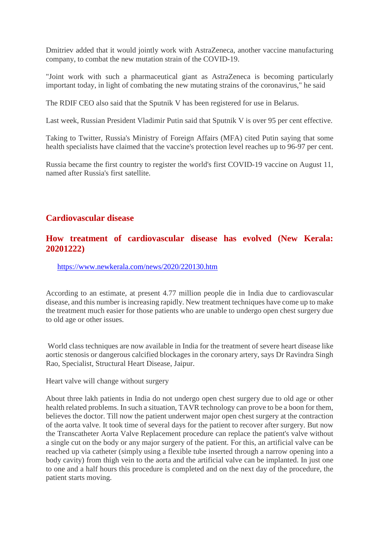Dmitriev added that it would jointly work with AstraZeneca, another vaccine manufacturing company, to combat the new mutation strain of the COVID-19.

"Joint work with such a pharmaceutical giant as AstraZeneca is becoming particularly important today, in light of combating the new mutating strains of the coronavirus," he said

The RDIF CEO also said that the Sputnik V has been registered for use in Belarus.

Last week, Russian President Vladimir Putin said that Sputnik V is over 95 per cent effective.

Taking to Twitter, Russia's Ministry of Foreign Affairs (MFA) cited Putin saying that some health specialists have claimed that the vaccine's protection level reaches up to 96-97 per cent.

Russia became the first country to register the world's first COVID-19 vaccine on August 11, named after Russia's first satellite.

#### **Cardiovascular disease**

#### **How treatment of cardiovascular disease has evolved (New Kerala: 20201222)**

https://www.newkerala.com/news/2020/220130.htm

According to an estimate, at present 4.77 million people die in India due to cardiovascular disease, and this number is increasing rapidly. New treatment techniques have come up to make the treatment much easier for those patients who are unable to undergo open chest surgery due to old age or other issues.

World class techniques are now available in India for the treatment of severe heart disease like aortic stenosis or dangerous calcified blockages in the coronary artery, says Dr Ravindra Singh Rao, Specialist, Structural Heart Disease, Jaipur.

Heart valve will change without surgery

About three lakh patients in India do not undergo open chest surgery due to old age or other health related problems. In such a situation, TAVR technology can prove to be a boon for them, believes the doctor. Till now the patient underwent major open chest surgery at the contraction of the aorta valve. It took time of several days for the patient to recover after surgery. But now the Transcatheter Aorta Valve Replacement procedure can replace the patient's valve without a single cut on the body or any major surgery of the patient. For this, an artificial valve can be reached up via catheter (simply using a flexible tube inserted through a narrow opening into a body cavity) from thigh vein to the aorta and the artificial valve can be implanted. In just one to one and a half hours this procedure is completed and on the next day of the procedure, the patient starts moving.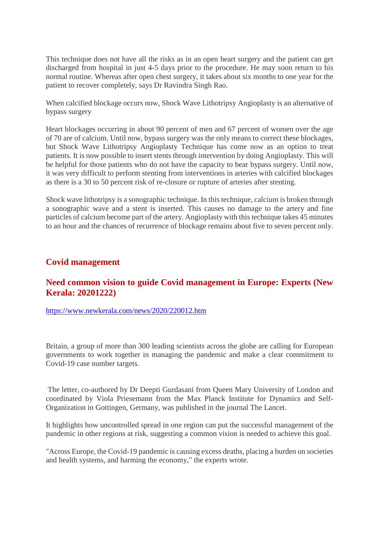This technique does not have all the risks as in an open heart surgery and the patient can get discharged from hospital in just 4-5 days prior to the procedure. He may soon return to his normal routine. Whereas after open chest surgery, it takes about six months to one year for the patient to recover completely, says Dr Ravindra Singh Rao.

When calcified blockage occurs now, Shock Wave Lithotripsy Angioplasty is an alternative of bypass surgery

Heart blockages occurring in about 90 percent of men and 67 percent of women over the age of 70 are of calcium. Until now, bypass surgery was the only means to correct these blockages, but Shock Wave Lithotripsy Angioplasty Technique has come now as an option to treat patients. It is now possible to insert stents through intervention by doing Angioplasty. This will be helpful for those patients who do not have the capacity to bear bypass surgery. Until now, it was very difficult to perform stenting from interventions in arteries with calcified blockages as there is a 30 to 50 percent risk of re-closure or rupture of arteries after stenting.

Shock wave lithotripsy is a sonographic technique. In this technique, calcium is broken through a sonographic wave and a stent is inserted. This causes no damage to the artery and fine particles of calcium become part of the artery. Angioplasty with this technique takes 45 minutes to an hour and the chances of recurrence of blockage remains about five to seven percent only.

#### **Covid management**

#### **Need common vision to guide Covid management in Europe: Experts (New Kerala: 20201222)**

https://www.newkerala.com/news/2020/220012.htm

Britain, a group of more than 300 leading scientists across the globe are calling for European governments to work together in managing the pandemic and make a clear commitment to Covid-19 case number targets.

The letter, co-authored by Dr Deepti Gurdasani from Queen Mary University of London and coordinated by Viola Priesemann from the Max Planck Institute for Dynamics and Self-Organization in Gottingen, Germany, was published in the journal The Lancet.

It highlights how uncontrolled spread in one region can put the successful management of the pandemic in other regions at risk, suggesting a common vision is needed to achieve this goal.

"Across Europe, the Covid-19 pandemic is causing excess deaths, placing a burden on societies and health systems, and harming the economy," the experts wrote.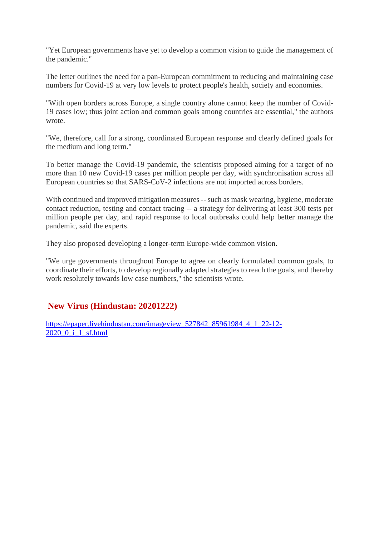"Yet European governments have yet to develop a common vision to guide the management of the pandemic."

The letter outlines the need for a pan-European commitment to reducing and maintaining case numbers for Covid-19 at very low levels to protect people's health, society and economies.

"With open borders across Europe, a single country alone cannot keep the number of Covid-19 cases low; thus joint action and common goals among countries are essential," the authors wrote.

"We, therefore, call for a strong, coordinated European response and clearly defined goals for the medium and long term."

To better manage the Covid-19 pandemic, the scientists proposed aiming for a target of no more than 10 new Covid-19 cases per million people per day, with synchronisation across all European countries so that SARS-CoV-2 infections are not imported across borders.

With continued and improved mitigation measures -- such as mask wearing, hygiene, moderate contact reduction, testing and contact tracing -- a strategy for delivering at least 300 tests per million people per day, and rapid response to local outbreaks could help better manage the pandemic, said the experts.

They also proposed developing a longer-term Europe-wide common vision.

"We urge governments throughout Europe to agree on clearly formulated common goals, to coordinate their efforts, to develop regionally adapted strategies to reach the goals, and thereby work resolutely towards low case numbers," the scientists wrote.

#### **New Virus (Hindustan: 20201222)**

https://epaper.livehindustan.com/imageview\_527842\_85961984\_4\_1\_22-12- 2020\_0\_i\_1\_sf.html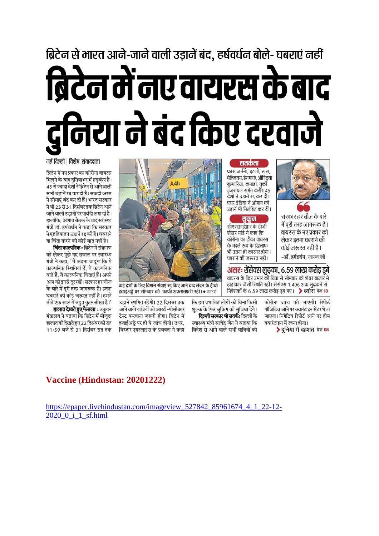# ब्रिटेन से भारत आने-जाने वाली उड़ानें बंद, हर्षवर्धन बोले- घबराएं नहीं ब्रिटेन में नए वायरस के बाद द्वनिया ने बंद किए दरवाजे

#### नई दिल्ली | विशेष संवाददाता

ब्रिटेन में नए प्रकार का कोरोना वायरस मिलने के बाद दनियाभर में हडकंप है। 45 से ज्यादा देशों ने ब्रिटेन से आने वाली सभी उडानें रद्द कर दी हैं। सऊदी अरब ने सीमाएं बंद कर दी हैं। भारत सरकार ने भी 23 से 31 दिसंबर तक ब्रिटेन आने जाने वाली उडानों पर पाबंदी लगा दी है। हालांकि, आपात बैठक के बाद स्वास्थ्य मंत्री डॉ. हर्षवर्धन ने कहा कि सरकार ने एहतियातन उडानें रद्द की हैं। घबराने या चिंता करने को कोई बात नहीं है।

चिंता काल्पनिक : ब्रिटेन में संक्रमण को लेकर पछे गए सवाल पर स्वास्थ्य मंत्री ने कहा, 'मैं कहना चाहूंगा कि ये काल्पनिक स्थितियां हैं, ये काल्पनिक बातें हैं, ये काल्पनिक चिंताएं हैं। अपने आप को इनसे दूररखें। सरकारहर चीज के बारे में पूरी तरह जागरूक है। इतना घबराने की कोई जरूरत नहीं है। हमने बीते एक साल में बहुत कुछ सीखा है।'

हालात देखते हुए फैसला : उड्डयन मंत्रालय ने बताया कि ब्रिटेन में मौजूदा हालात को देखते हुए 22 दिसंबर की रात 11:59 बजे से 31 दिसंबर रात तक



कई देशों के लिए विमान सेवाएं रद्द किए जाने बाद लंदन के हीथ्रो हवाईअड्डे पर सोमवार को काफी अफरातफरी रही। • रायटर्स

उडानें स्थगित रहेंगी। 22 दिसंबर तक आने वाले यात्रियों को आरटी-पीसीआर टेस्ट करवाना जरूरी होगा। ब्रिटेन में हवाईअड्डे पर ही ये जांच होगी। उधर, विस्तार एयरलाइंस के प्रवक्ता ने कहा कि हम प्रभावित लोगों को बिना किसी शल्क के फिर बुकिंग की सुविधा देंगे।

कोरोना जांच की जाएगी। रिपोर्ट पॉजिटिव आने पर क्वारंटाइन सेंटर भेजा जाएगा। निगेटिव रिपोर्ट आने पर होम क्वारंटाइन में रहना होगा।

असरः सेंसेक्स लुढका, ६.५९ लाख करोड़ डुबे

.<br>वायरस के फिर उभार की चिंता से सोमवार को शेयर बाजार में

हाहाकार जैसी स्थिति रही। सेंसेक्स 1,406 अंक लढकने से

निवेशकों के 6.59 लाख करोड़ डूब गए। **> ब्योरा** पेज 13

▶ दुनिया में दहशत पेज 08

सरकार हर चीज के बारे

में पुरी तरह जागरूक है।

वायरस के नए प्रकार को

लेकर इतना घबराने की

-डॉ. हर्षवर्धन. स्वास्थ्य मंत्री

कोई जरूरत नहीं है।

दिल्ली सरकार भी सतर्कः दिल्ली के स्वास्थ्य मंत्री सत्येंद्र जैन ने बताया कि विदेश से आने वाले सभी यात्रियों की

#### Vaccine (Hindustan: 20201222)

https://epaper.livehindustan.com/imageview\_527842\_85961674\_4\_1\_22-12-2020 0 i 1 sf.html



बेल्जियम, डेनमार्क, ऑस्टिया

बुल्गारिया, कनाडा, तुर्की

इंजरायल समेत करीब 45

देशों ने उडानें रद्द कर दी।

.<br>एयर इंडिया ने ओमान की

उडानें भी निलंबित कर दीं।

सुकून

सीएसआईआर के डीजी

कोरोना का टीका वायरस

के बदले रूप के खिलाफ

घबराने की जरूरत नहीं।

भी उतना ही कारगर होगा।

शेखर मांडे ने कहा कि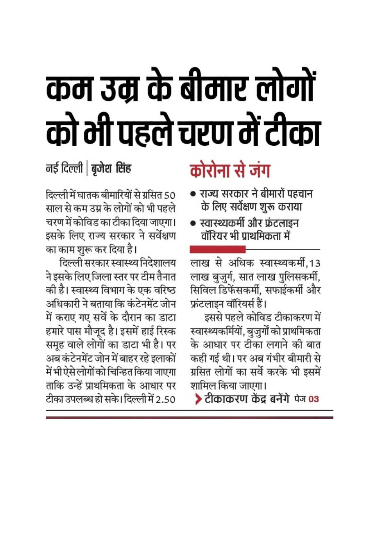# कम उम्र के बीमार लोगों को भी पहले चरण में टीका

### नई दिल्ली | बुजेश सिंह

दिल्ली में घातक बीमारियों से ग्रसित 50 साल से कम उम्र के लोगों को भी पहले चरण में कोविड का टीका दिया जाएगा। इसके लिए राज्य सरकार ने सर्वेक्षण का काम शुरू कर दिया है।

दिल्ली सरकार स्वास्थ्य निदेशालय ने इसके लिए जिला स्तर पर टीम तैनात की है। स्वास्थ्य विभाग के एक वरिष्ठ अधिकारी ने बताया कि कंटेनमेंट जोन में कराए गए सर्वे के दौरान का डाटा हमारे पास मौजूद है। इसमें हाई रिस्क समूह वाले लोगों का डाटा भी है। पर अब कंटेनमेंट जोन में बाहर रहे इलाकों में भी ऐसे लोगों को चिन्हित किया जाएगा ताकि उन्हें प्राथमिकता के आधार पर टीका उपलब्ध हो सके। दिल्ली में 2.50

## कोरोना से जंग

- राज्य सरकार ने बीमारों पहचान के लिए सर्वेक्षण शुरू कराया
- स्वास्थ्यकर्मी और फ्रंटलाइन वॉरियर भी प्राथमिकता में

लाख से अधिक स्वास्थ्यकर्मी.13 लाख बुजुर्ग, सात लाख पुलिसकर्मी, सिविल डिफेंसकर्मी, सफाईकर्मी और फ्रंटलाइन वॉरियर्स हैं।

इससे पहले कोविड टीकाकरण में स्वास्थ्यकर्मियों, बुजुर्गों को प्राथमिकता के आधार पर टीका लगाने की बात कही गई थी। पर अब गंभीर बीमारी से ग्रसित लोगों का सर्वे करके भी इसमें शामिल किया जाएगा।

> टीकाकरण केंद्र बनेंगे पेज 03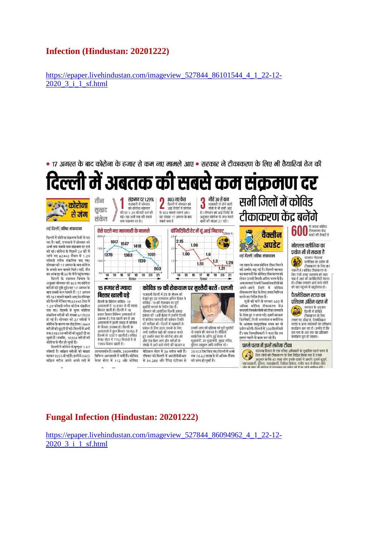#### **Infection (Hindustan: 20201222)**

https://epaper.livehindustan.com/imageview\_527844\_86101544\_4\_1\_22-12-2020\_3\_i\_1\_sf.html



#### **Fungal Infection (Hindustan: 20201222)**

https://epaper.livehindustan.com/imageview\_527844\_86094962\_4\_1\_22-12- 2020\_3\_i\_1\_sf.html